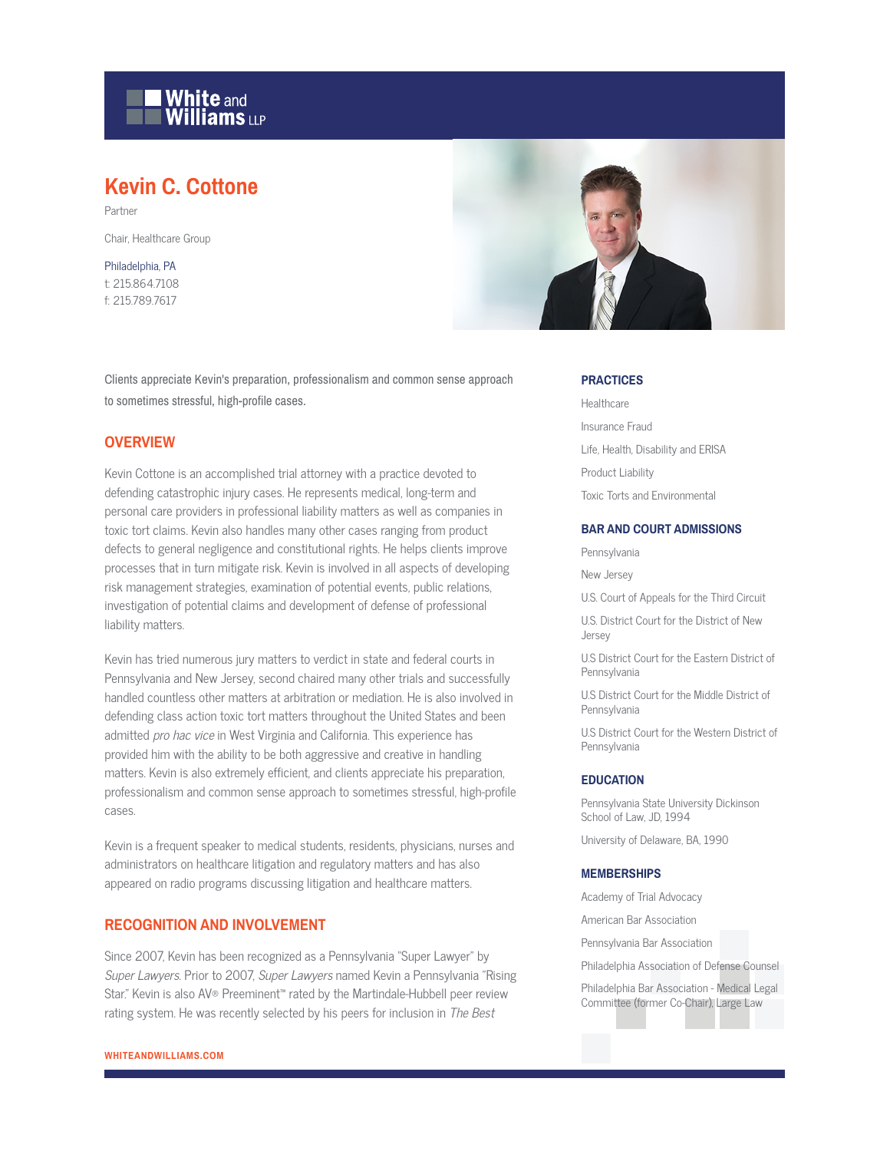

# **Kevin C. Cottone**

Partner

Chair, Healthcare Group

Philadelphia, PA t: 215.864.7108 f: 215.789.7617



### **OVERVIEW**

Kevin Cottone is an accomplished trial attorney with a practice devoted to defending catastrophic injury cases. He represents medical, long-term and personal care providers in professional liability matters as well as companies in toxic tort claims. Kevin also handles many other cases ranging from product defects to general negligence and constitutional rights. He helps clients improve processes that in turn mitigate risk. Kevin is involved in all aspects of developing risk management strategies, examination of potential events, public relations, investigation of potential claims and development of defense of professional liability matters.

Kevin has tried numerous jury matters to verdict in state and federal courts in Pennsylvania and New Jersey, second chaired many other trials and successfully handled countless other matters at arbitration or mediation. He is also involved in defending class action toxic tort matters throughout the United States and been admitted pro hac vice in West Virginia and California. This experience has provided him with the ability to be both aggressive and creative in handling matters. Kevin is also extremely efficient, and clients appreciate his preparation, professionalism and common sense approach to sometimes stressful, high-profile cases.

Kevin is a frequent speaker to medical students, residents, physicians, nurses and administrators on healthcare litigation and regulatory matters and has also appeared on radio programs discussing litigation and healthcare matters.

#### **RECOGNITION AND INVOLVEMENT**

Since 2007, Kevin has been recognized as a Pennsylvania "Super Lawyer" by Super Lawyers. Prior to 2007, Super Lawyers named Kevin a Pennsylvania "Rising Star." Kevin is also AV® Preeminent™ rated by the Martindale-Hubbell peer review rating system. He was recently selected by his peers for inclusion in The Best



#### **PRACTICES**

Healthcare Insurance Fraud Life, Health, Disability and ERISA Product Liability Toxic Torts and Environmental

#### **BAR AND COURT ADMISSIONS**

Pennsylvania

New Jersey

U.S. Court of Appeals for the Third Circuit

U.S. District Court for the District of New Jersey

U.S District Court for the Eastern District of Pennsylvania

U.S District Court for the Middle District of Pennsylvania

U.S District Court for the Western District of **Pennsylvania** 

#### **EDUCATION**

Pennsylvania State University Dickinson School of Law, JD, 1994

University of Delaware, BA, 1990

#### **MEMBERSHIPS**

Academy of Trial Advocacy

American Bar Association

Pennsylvania Bar Association

Philadelphia Association of Defense Counsel

Philadelphia Bar Association - Medical Legal Committee (former Co-Chair), Large Law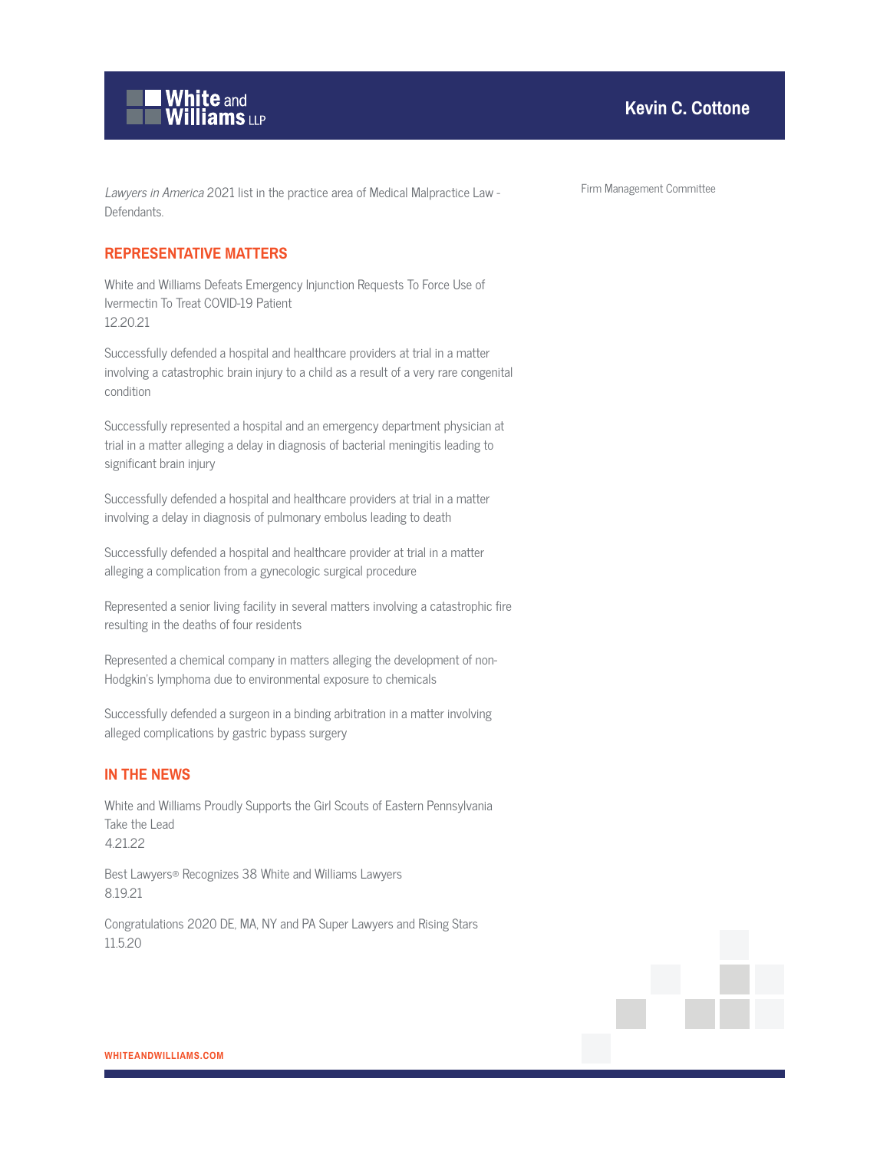

## **Kevin C. Cottone**

## **REPRESENTATIVE MATTERS**

White and Williams Defeats Emergency Injunction Requests To Force Use of Ivermectin To Treat COVID-19 Patient 12.20.21

Successfully defended a hospital and healthcare providers at trial in a matter involving a catastrophic brain injury to a child as a result of a very rare congenital condition

Successfully represented a hospital and an emergency department physician at trial in a matter alleging a delay in diagnosis of bacterial meningitis leading to significant brain injury

Successfully defended a hospital and healthcare providers at trial in a matter involving a delay in diagnosis of pulmonary embolus leading to death

Successfully defended a hospital and healthcare provider at trial in a matter alleging a complication from a gynecologic surgical procedure

Represented a senior living facility in several matters involving a catastrophic fire resulting in the deaths of four residents

Represented a chemical company in matters alleging the development of non-Hodgkin's lymphoma due to environmental exposure to chemicals

Successfully defended a surgeon in a binding arbitration in a matter involving alleged complications by gastric bypass surgery

## **IN THE NEWS**

White and Williams Proudly Supports the Girl Scouts of Eastern Pennsylvania Take the Lead 4.21.22

Best Lawyers® Recognizes 38 White and Williams Lawyers 8.19.21

Congratulations 2020 DE, MA, NY and PA Super Lawyers and Rising Stars 11.5.20

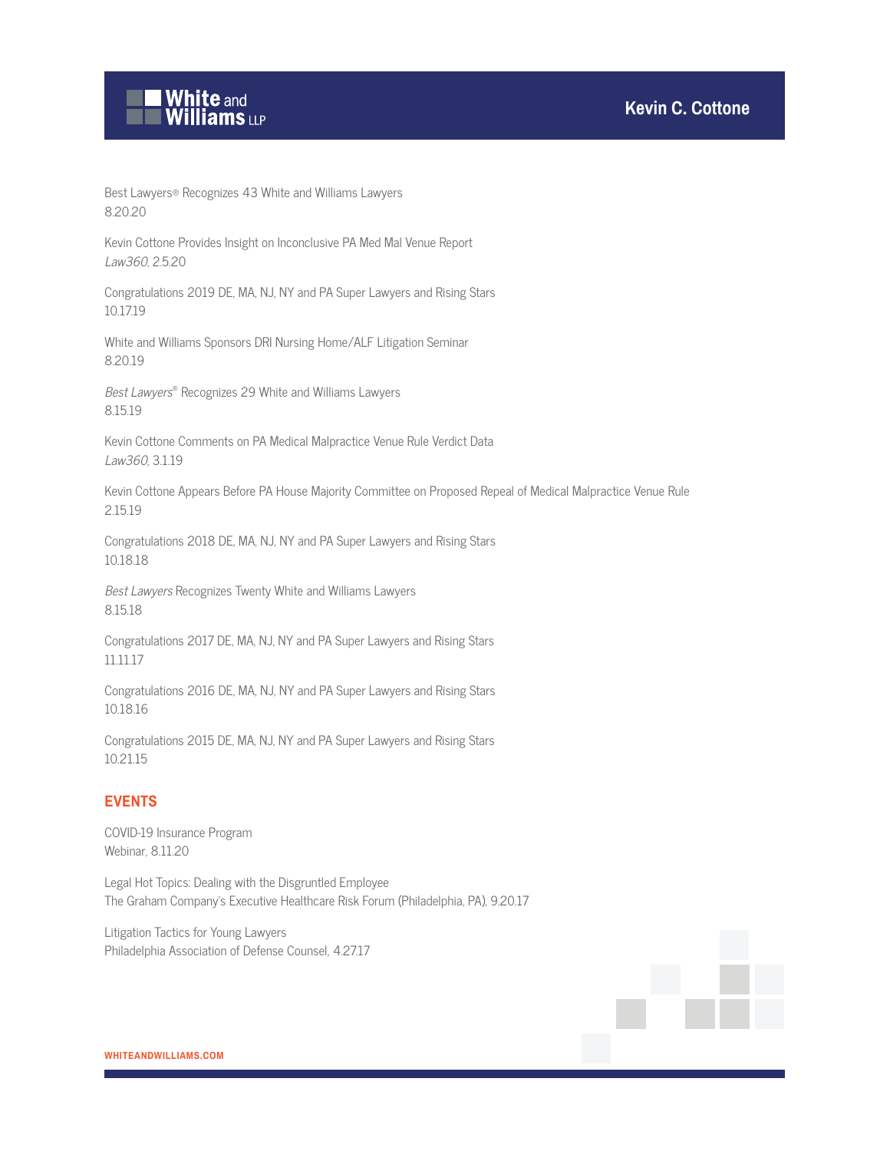

Best Lawyers® Recognizes 43 White and Williams Lawyers 8.20.20

Kevin Cottone Provides Insight on Inconclusive PA Med Mal Venue Report Law360, 2.5.20

Congratulations 2019 DE, MA, NJ, NY and PA Super Lawyers and Rising Stars 10.17.19

White and Williams Sponsors DRI Nursing Home/ALF Litigation Seminar 8.20.19

Best Lawyers® Recognizes 29 White and Williams Lawyers 8.15.19

Kevin Cottone Comments on PA Medical Malpractice Venue Rule Verdict Data Law360, 3.1.19

Kevin Cottone Appears Before PA House Majority Committee on Proposed Repeal of Medical Malpractice Venue Rule 2.15.19

Congratulations 2018 DE, MA, NJ, NY and PA Super Lawyers and Rising Stars 10.18.18

Best Lawyers Recognizes Twenty White and Williams Lawyers 8.15.18

Congratulations 2017 DE, MA, NJ, NY and PA Super Lawyers and Rising Stars 11.11.17

Congratulations 2016 DE, MA, NJ, NY and PA Super Lawyers and Rising Stars 10.18.16

Congratulations 2015 DE, MA, NJ, NY and PA Super Lawyers and Rising Stars 10.21.15

## **EVENTS**

COVID-19 Insurance Program Webinar, 8.11.20

Legal Hot Topics: Dealing with the Disgruntled Employee The Graham Company's Executive Healthcare Risk Forum (Philadelphia, PA), 9.20.17

Litigation Tactics for Young Lawyers Philadelphia Association of Defense Counsel, 4.27.17



**WHITEANDWILLIAMS.COM**